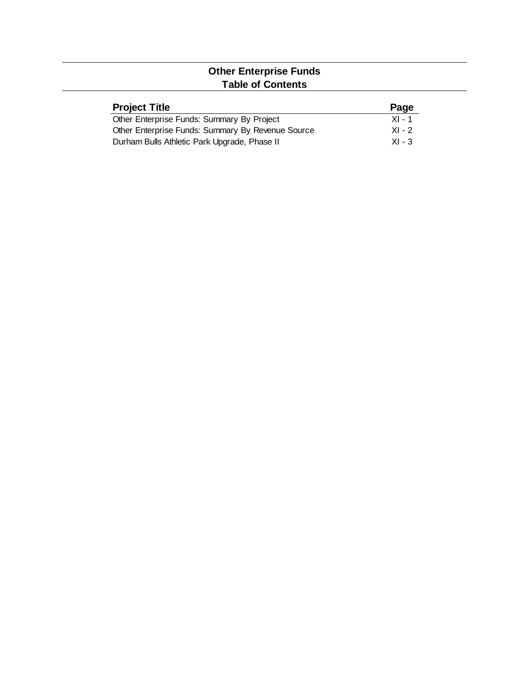## **Other Enterprise Funds Table of Contents**

| <b>Project Title</b>                              | Page     |
|---------------------------------------------------|----------|
| Other Enterprise Funds: Summary By Project        | $XI - 1$ |
| Other Enterprise Funds: Summary By Revenue Source | $XI - 2$ |
| Durham Bulls Athletic Park Upgrade, Phase II      | $XI - 3$ |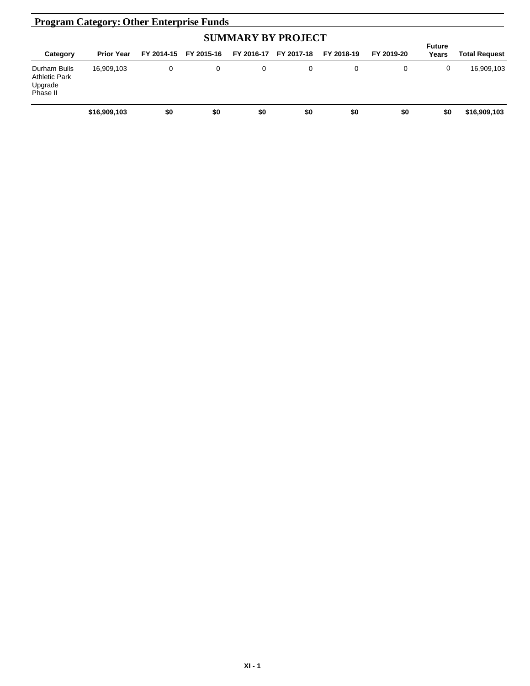| <b>Program Category: Other Enterprise Funds</b>             |                   |            |            |            |            |            |            |                        |               |
|-------------------------------------------------------------|-------------------|------------|------------|------------|------------|------------|------------|------------------------|---------------|
| <b>SUMMARY BY PROJECT</b>                                   |                   |            |            |            |            |            |            |                        |               |
| Category                                                    | <b>Prior Year</b> | FY 2014-15 | FY 2015-16 | FY 2016-17 | FY 2017-18 | FY 2018-19 | FY 2019-20 | <b>Future</b><br>Years | Total Request |
| Durham Bulls<br><b>Athletic Park</b><br>Upgrade<br>Phase II | 16,909,103        | 0          | 0          | 0          | 0          | 0          |            | 0                      | 16,909,103    |
|                                                             | \$16,909,103      | \$0        | \$0        | \$0        | \$0        | \$0        | \$0        | \$0                    | \$16,909,103  |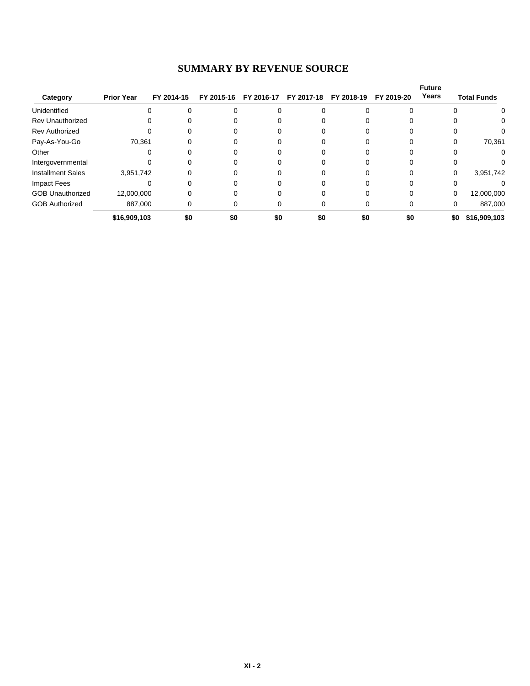## **SUMMARY BY REVENUE SOURCE**

| Category                 | <b>Prior Year</b> | FY 2014-15 | FY 2015-16 | FY 2016-17 | FY 2017-18 | FY 2018-19 | FY 2019-20 | <b>Future</b><br>Years | <b>Total Funds</b> |
|--------------------------|-------------------|------------|------------|------------|------------|------------|------------|------------------------|--------------------|
| Unidentified             | 0                 |            |            |            |            |            |            |                        | 0                  |
| <b>Rev Unauthorized</b>  | 0                 |            |            |            |            |            |            |                        | 0                  |
| <b>Rev Authorized</b>    |                   |            |            |            |            |            |            |                        |                    |
| Pay-As-You-Go            | 70,361            |            |            |            |            |            |            |                        | 70,361             |
| Other                    |                   |            |            |            |            |            |            |                        |                    |
| Intergovernmental        |                   |            |            |            |            |            |            |                        |                    |
| <b>Installment Sales</b> | 3,951,742         |            |            |            |            |            |            | $\Omega$               | 3,951,742          |
| Impact Fees              |                   |            |            |            |            |            |            |                        |                    |
| <b>GOB Unauthorized</b>  | 12,000,000        |            |            |            |            |            |            | 0                      | 12,000,000         |
| <b>GOB Authorized</b>    | 887,000           |            |            |            |            |            |            | 0                      | 887,000            |
|                          | \$16,909,103      | \$0        | \$0        | \$0        | \$0        | \$0        | \$0        | \$0                    | \$16,909,103       |